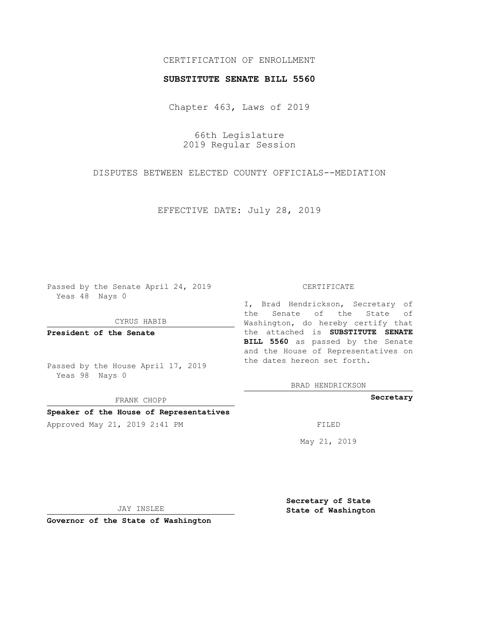## CERTIFICATION OF ENROLLMENT

## **SUBSTITUTE SENATE BILL 5560**

Chapter 463, Laws of 2019

66th Legislature 2019 Regular Session

DISPUTES BETWEEN ELECTED COUNTY OFFICIALS--MEDIATION

EFFECTIVE DATE: July 28, 2019

Passed by the Senate April 24, 2019 Yeas 48 Nays 0

CYRUS HABIB

**President of the Senate**

Passed by the House April 17, 2019 Yeas 98 Nays 0

FRANK CHOPP

### **Speaker of the House of Representatives**

Approved May 21, 2019 2:41 PM

#### CERTIFICATE

I, Brad Hendrickson, Secretary of the Senate of the State of Washington, do hereby certify that the attached is **SUBSTITUTE SENATE BILL 5560** as passed by the Senate and the House of Representatives on the dates hereon set forth.

BRAD HENDRICKSON

**Secretary**

May 21, 2019

JAY INSLEE

**Governor of the State of Washington**

**Secretary of State State of Washington**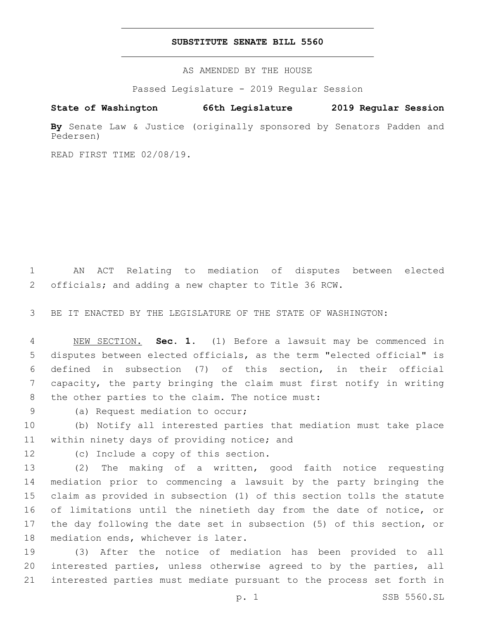## **SUBSTITUTE SENATE BILL 5560**

AS AMENDED BY THE HOUSE

Passed Legislature - 2019 Regular Session

# **State of Washington 66th Legislature 2019 Regular Session**

**By** Senate Law & Justice (originally sponsored by Senators Padden and Pedersen)

READ FIRST TIME 02/08/19.

1 AN ACT Relating to mediation of disputes between elected 2 officials; and adding a new chapter to Title 36 RCW.

3 BE IT ENACTED BY THE LEGISLATURE OF THE STATE OF WASHINGTON:

 NEW SECTION. **Sec. 1.** (1) Before a lawsuit may be commenced in disputes between elected officials, as the term "elected official" is defined in subsection (7) of this section, in their official capacity, the party bringing the claim must first notify in writing the other parties to the claim. The notice must:

9 (a) Request mediation to occur;

10 (b) Notify all interested parties that mediation must take place 11 within ninety days of providing notice; and

12 (c) Include a copy of this section.

 (2) The making of a written, good faith notice requesting mediation prior to commencing a lawsuit by the party bringing the claim as provided in subsection (1) of this section tolls the statute 16 of limitations until the ninetieth day from the date of notice, or the day following the date set in subsection (5) of this section, or 18 mediation ends, whichever is later.

19 (3) After the notice of mediation has been provided to all 20 interested parties, unless otherwise agreed to by the parties, all 21 interested parties must mediate pursuant to the process set forth in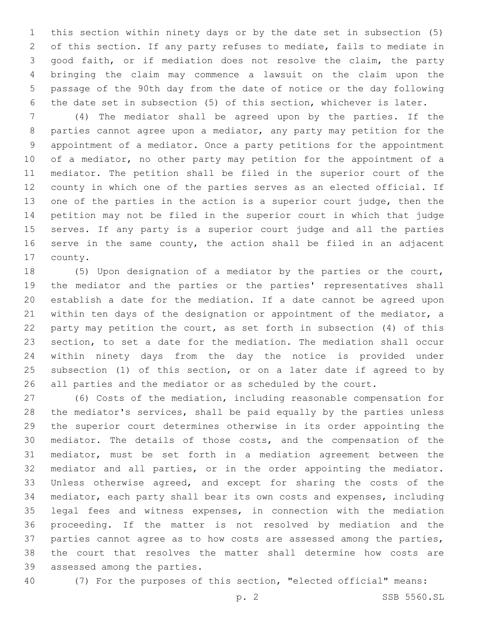this section within ninety days or by the date set in subsection (5) of this section. If any party refuses to mediate, fails to mediate in good faith, or if mediation does not resolve the claim, the party bringing the claim may commence a lawsuit on the claim upon the passage of the 90th day from the date of notice or the day following the date set in subsection (5) of this section, whichever is later.

 (4) The mediator shall be agreed upon by the parties. If the parties cannot agree upon a mediator, any party may petition for the appointment of a mediator. Once a party petitions for the appointment 10 of a mediator, no other party may petition for the appointment of a mediator. The petition shall be filed in the superior court of the county in which one of the parties serves as an elected official. If one of the parties in the action is a superior court judge, then the petition may not be filed in the superior court in which that judge serves. If any party is a superior court judge and all the parties 16 serve in the same county, the action shall be filed in an adjacent 17 county.

 (5) Upon designation of a mediator by the parties or the court, the mediator and the parties or the parties' representatives shall establish a date for the mediation. If a date cannot be agreed upon within ten days of the designation or appointment of the mediator, a party may petition the court, as set forth in subsection (4) of this section, to set a date for the mediation. The mediation shall occur within ninety days from the day the notice is provided under subsection (1) of this section, or on a later date if agreed to by all parties and the mediator or as scheduled by the court.

 (6) Costs of the mediation, including reasonable compensation for the mediator's services, shall be paid equally by the parties unless the superior court determines otherwise in its order appointing the mediator. The details of those costs, and the compensation of the mediator, must be set forth in a mediation agreement between the mediator and all parties, or in the order appointing the mediator. Unless otherwise agreed, and except for sharing the costs of the mediator, each party shall bear its own costs and expenses, including legal fees and witness expenses, in connection with the mediation proceeding. If the matter is not resolved by mediation and the parties cannot agree as to how costs are assessed among the parties, the court that resolves the matter shall determine how costs are 39 assessed among the parties.

(7) For the purposes of this section, "elected official" means: